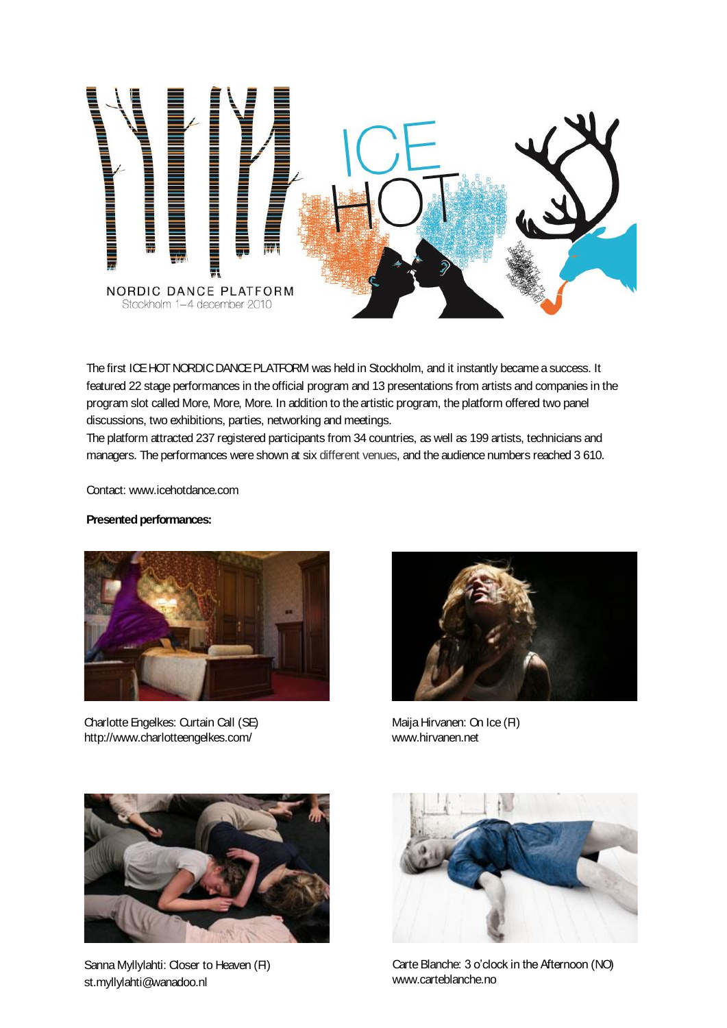

The first ICE HOT NORDIC DANCE PLATFORM was held in Stockholm, and it instantly became a success. It featured 22 stage performances in the official program and 13 presentations from artists and companies in the program slot called More, More, More. In addition to the artistic program, the platform offered two panel discussions, two exhibitions, parties, networking and meetings.

The platform attracted 237 registered participants from 34 countries, as well as 199 artists, technicians and managers. The performances were shown at six different venues, and the audience numbers reached 3 610.

Contact: www.icehotdance.com

## **Presented performances:**



Charlotte Engelkes: Curtain Call (SE) http://www.charlotteengelkes.com/



Maija Hirvanen: On Ice (FI) www.hirvanen.net



Sanna Myllylahti: Closer to Heaven (FI) st.myllylahti@wanadoo.nl



Carte Blanche: 3 o'clock in the Afternoon (NO) www.carteblanche.no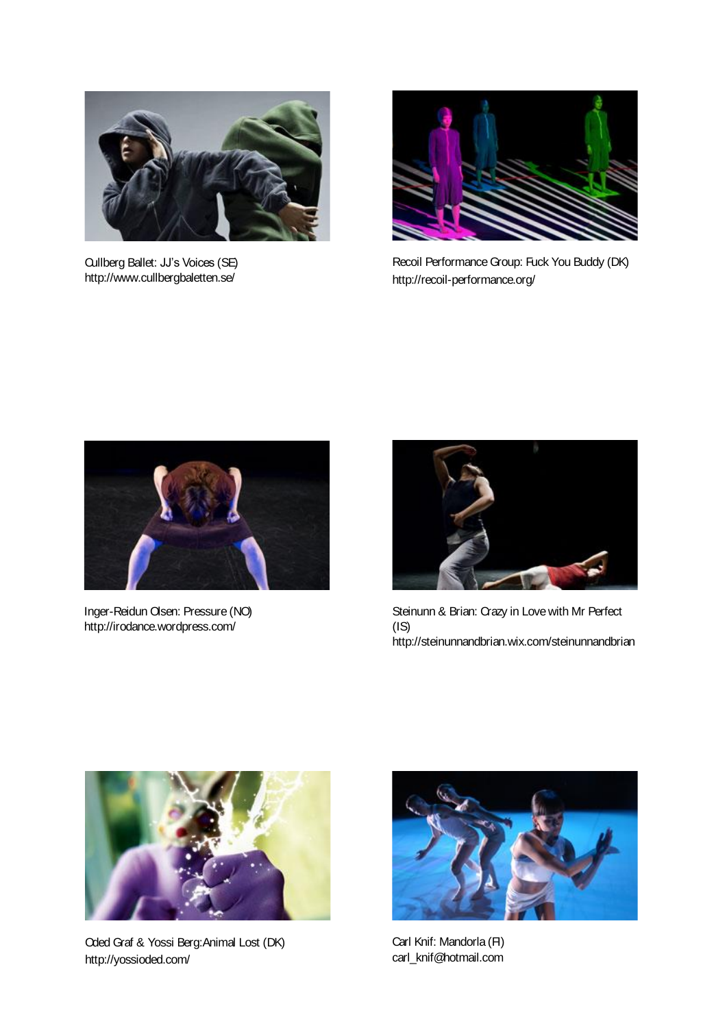

Cullberg Ballet: JJ's Voices (SE) http://www.cullbergbaletten.se/



Recoil Performance Group: Fuck You Buddy (DK) http://recoil-performance.org/



Inger-Reidun Olsen: Pressure (NO) http://irodance.wordpress.com/



Steinunn & Brian: Crazy in Love with Mr Perfect (IS) http://steinunnandbrian.wix.com/steinunnandbrian



Oded Graf & Yossi Berg:Animal Lost (DK) http://yossioded.com/



Carl Knif: Mandorla (FI) carl\_knif@hotmail.com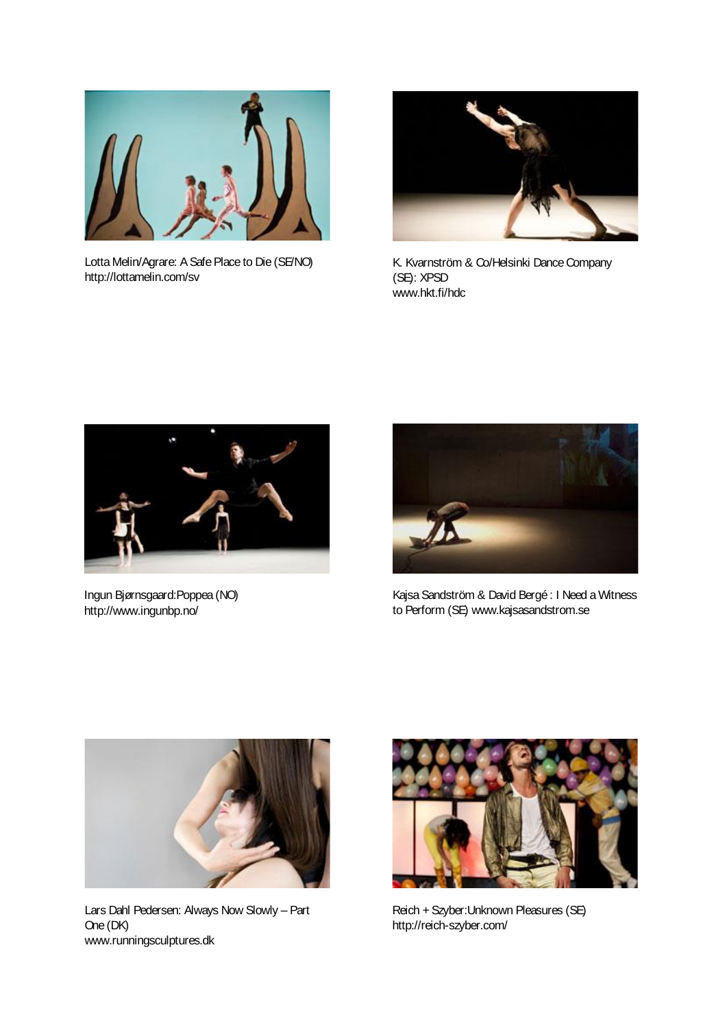

Lotta Melin/Agrare: A Safe Place to Die (SE/NO) http://lottamelin.com/sv



K. Kvarnström & Co/Helsinki Dance Company (SE): XPSD www.hkt.fi/hdc



Ingun Bjørnsgaard:Poppea (NO) http://www.ingunbp.no/



Kajsa Sandström & David Bergé : I Need a Witness to Perform (SE) www.kajsasandstrom.se



Lars Dahl Pedersen: Always Now Slowly – Part One (DK) www.runningsculptures.dk



Reich + Szyber:Unknown Pleasures (SE) http://reich-szyber.com/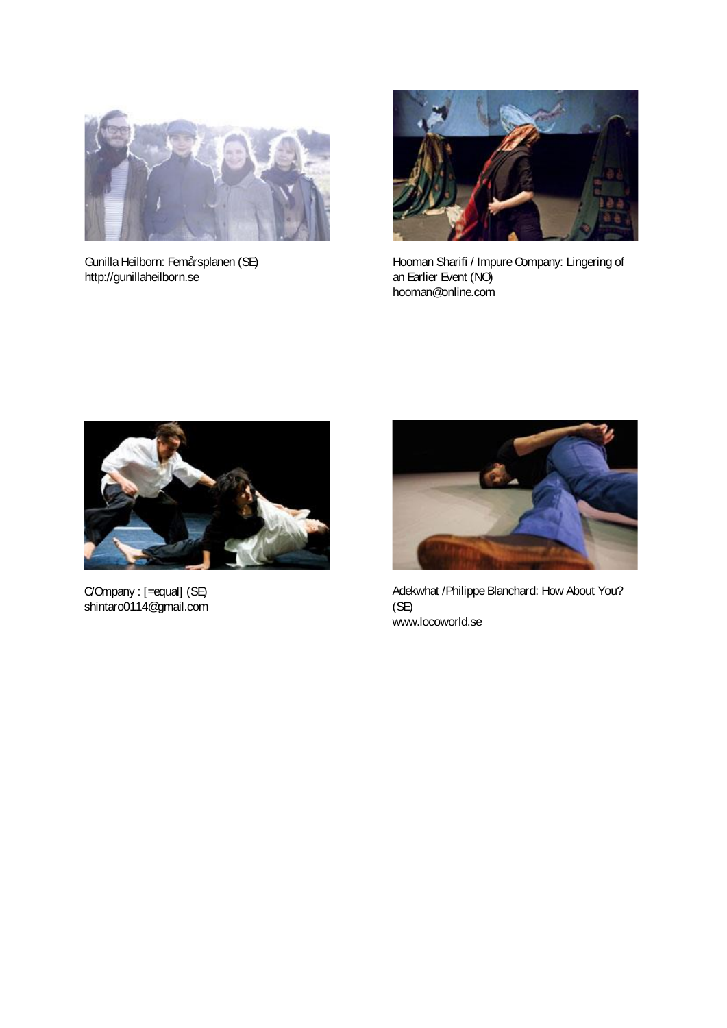

Gunilla Heilborn: Femårsplanen (SE) http://gunillaheilborn.se



Hooman Sharifi / Impure Company: Lingering of an Earlier Event (NO) hooman@online.com



C/Ompany : [=equal] (SE) shintaro0114@gmail.com



Adekwhat /Philippe Blanchard: How About You? (SE) www.locoworld.se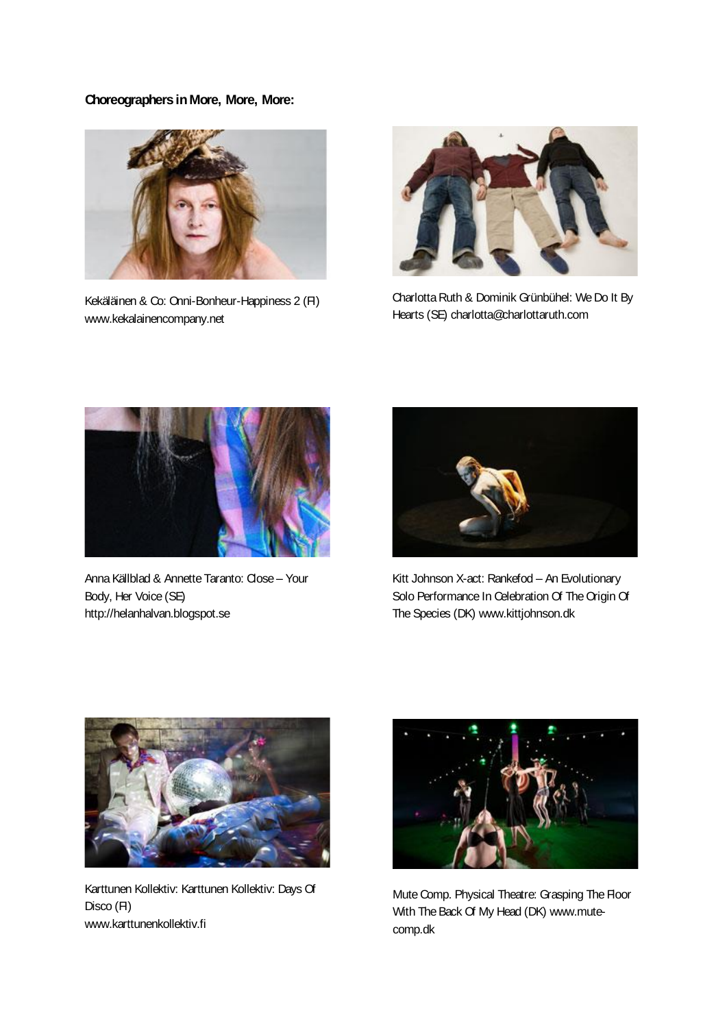## **Choreographers inMore, More, More:**



Kekäläinen & Co: Onni-Bonheur-Happiness 2 (FI) www.kekalainencompany.net



Charlotta Ruth & Dominik Grünbühel: We Do It By Hearts (SE) charlotta@charlottaruth.com



Anna Källblad & Annette Taranto: Close – Your Body, Her Voice (SE) http://helanhalvan.blogspot.se



Kitt Johnson X-act: Rankefod – An Evolutionary Solo Performance In Celebration Of The Origin Of The Species (DK) www.kittjohnson.dk



Karttunen Kollektiv: Karttunen Kollektiv: Days Of Disco (FI) www.karttunenkollektiv.fi



Mute Comp. Physical Theatre: Grasping The Floor With The Back Of My Head (DK) www.mutecomp.dk